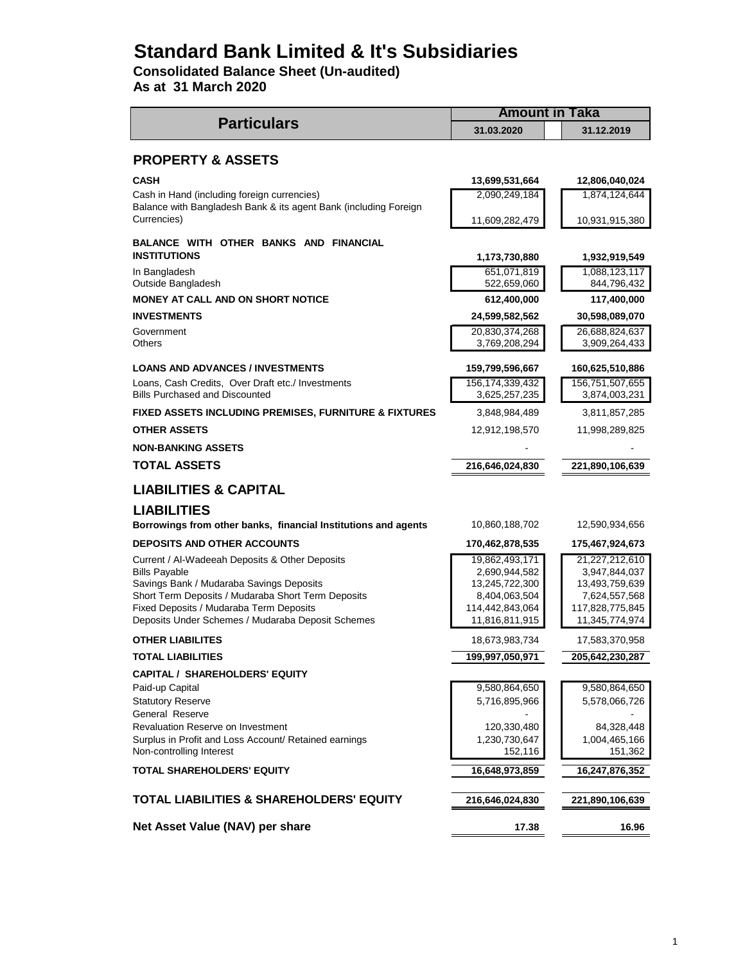# **Standard Bank Limited & It's Subsidiaries**

**Consolidated Balance Sheet (Un-audited)**

**As at 31 March 2020**

|                                                                                                                 | <b>Amount in Taka</b>               |                                  |  |  |
|-----------------------------------------------------------------------------------------------------------------|-------------------------------------|----------------------------------|--|--|
| <b>Particulars</b>                                                                                              | 31.03.2020                          | 31.12.2019                       |  |  |
| <b>PROPERTY &amp; ASSETS</b>                                                                                    |                                     |                                  |  |  |
| <b>CASH</b>                                                                                                     | 13,699,531,664                      | 12,806,040,024                   |  |  |
| Cash in Hand (including foreign currencies)<br>Balance with Bangladesh Bank & its agent Bank (including Foreign | 2,090,249,184                       | 1,874,124,644                    |  |  |
| Currencies)                                                                                                     | 11,609,282,479                      | 10,931,915,380                   |  |  |
| BALANCE WITH OTHER BANKS AND FINANCIAL<br><b>INSTITUTIONS</b>                                                   | 1,173,730,880                       | 1,932,919,549                    |  |  |
| In Bangladesh<br>Outside Bangladesh                                                                             | 651,071,819<br>522,659,060          | 1,088,123,117<br>844,796,432     |  |  |
| <b>MONEY AT CALL AND ON SHORT NOTICE</b>                                                                        | 612,400,000                         | 117,400,000                      |  |  |
| <b>INVESTMENTS</b>                                                                                              | 24,599,582,562                      | 30,598,089,070                   |  |  |
| Government                                                                                                      | 20,830,374,268                      | 26,688,824,637                   |  |  |
| Others                                                                                                          | 3,769,208,294                       | 3,909,264,433                    |  |  |
| <b>LOANS AND ADVANCES / INVESTMENTS</b>                                                                         | 159,799,596,667                     | 160,625,510,886                  |  |  |
| Loans, Cash Credits, Over Draft etc./ Investments<br><b>Bills Purchased and Discounted</b>                      | 156, 174, 339, 432<br>3,625,257,235 | 156,751,507,655<br>3,874,003,231 |  |  |
| <b>FIXED ASSETS INCLUDING PREMISES, FURNITURE &amp; FIXTURES</b>                                                | 3,848,984,489                       | 3,811,857,285                    |  |  |
| <b>OTHER ASSETS</b>                                                                                             | 12,912,198,570                      | 11,998,289,825                   |  |  |
| <b>NON-BANKING ASSETS</b>                                                                                       |                                     |                                  |  |  |
| TOTAL ASSETS                                                                                                    | 216,646,024,830                     | 221,890,106,639                  |  |  |
| <b>LIABILITIES &amp; CAPITAL</b>                                                                                |                                     |                                  |  |  |
| <b>LIABILITIES</b>                                                                                              |                                     |                                  |  |  |
| Borrowings from other banks, financial Institutions and agents                                                  | 10,860,188,702                      | 12,590,934,656                   |  |  |
| <b>DEPOSITS AND OTHER ACCOUNTS</b>                                                                              | 170,462,878,535                     | 175,467,924,673                  |  |  |
| Current / Al-Wadeeah Deposits & Other Deposits                                                                  | 19,862,493,171                      | 21,227,212,610                   |  |  |
| <b>Bills Payable</b>                                                                                            | 2,690,944,582                       | 3,947,844,037                    |  |  |
| Savings Bank / Mudaraba Savings Deposits<br>Short Term Deposits / Mudaraba Short Term Deposits                  | 13,245,722,300<br>8,404,063,504     | 13,493,759,639<br>7,624,557,568  |  |  |
| Fixed Deposits / Mudaraba Term Deposits                                                                         | 114,442,843,064                     | 117,828,775,845                  |  |  |
| Deposits Under Schemes / Mudaraba Deposit Schemes                                                               | 11,816,811,915                      | 11,345,774,974                   |  |  |
| <b>OTHER LIABILITES</b>                                                                                         | 18,673,983,734                      | 17,583,370,958                   |  |  |
| <b>TOTAL LIABILITIES</b>                                                                                        | 199,997,050,971                     | 205,642,230,287                  |  |  |
| <b>CAPITAL / SHAREHOLDERS' EQUITY</b>                                                                           |                                     |                                  |  |  |
| Paid-up Capital                                                                                                 | 9,580,864,650                       | 9,580,864,650                    |  |  |
| <b>Statutory Reserve</b>                                                                                        | 5,716,895,966                       | 5,578,066,726                    |  |  |
| General Reserve                                                                                                 |                                     |                                  |  |  |
| Revaluation Reserve on Investment                                                                               | 120,330,480                         | 84,328,448                       |  |  |
| Surplus in Profit and Loss Account/ Retained earnings                                                           | 1,230,730,647                       | 1,004,465,166                    |  |  |
| Non-controlling Interest<br><b>TOTAL SHAREHOLDERS' EQUITY</b>                                                   | 152,116<br>16,648,973,859           | 151,362<br>16,247,876,352        |  |  |
|                                                                                                                 |                                     |                                  |  |  |
| <b>TOTAL LIABILITIES &amp; SHAREHOLDERS' EQUITY</b>                                                             | 216,646,024,830                     | 221,890,106,639                  |  |  |
| Net Asset Value (NAV) per share                                                                                 | 17.38                               | 16.96                            |  |  |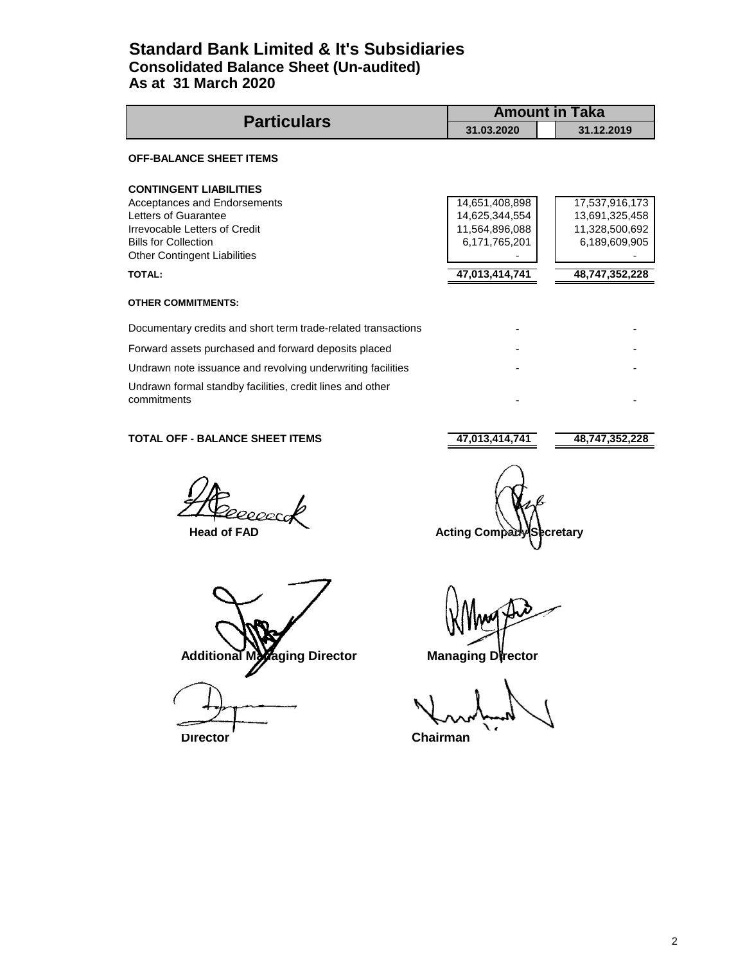# **Standard Bank Limited & It's Subsidiaries Consolidated Balance Sheet (Un-audited) As at 31 March 2020**

| <b>Particulars</b>                                                       | <b>Amount in Taka</b> |                |
|--------------------------------------------------------------------------|-----------------------|----------------|
|                                                                          | 31.03.2020            | 31.12.2019     |
| <b>OFF-BALANCE SHEET ITEMS</b>                                           |                       |                |
| <b>CONTINGENT LIABILITIES</b>                                            |                       |                |
| Acceptances and Endorsements                                             | 14,651,408,898        | 17,537,916,173 |
| Letters of Guarantee                                                     | 14,625,344,554        | 13,691,325,458 |
| Irrevocable Letters of Credit                                            | 11,564,896,088        | 11,328,500,692 |
| <b>Bills for Collection</b>                                              | 6,171,765,201         | 6,189,609,905  |
| <b>Other Contingent Liabilities</b>                                      |                       |                |
| <b>TOTAL:</b>                                                            | 47,013,414,741        | 48,747,352,228 |
| <b>OTHER COMMITMENTS:</b>                                                |                       |                |
| Documentary credits and short term trade-related transactions            |                       |                |
| Forward assets purchased and forward deposits placed                     |                       |                |
| Undrawn note issuance and revolving underwriting facilities              |                       |                |
| Undrawn formal standby facilities, credit lines and other<br>commitments |                       |                |

### **TOTAL OFF - BALANCE SHEET ITEMS 47,013,414,741** 48,747,352,228

200cr

Additional Managing Director **Managing Director** 

**Director** Chairman

 **Head of FAD Acting Company Secretary**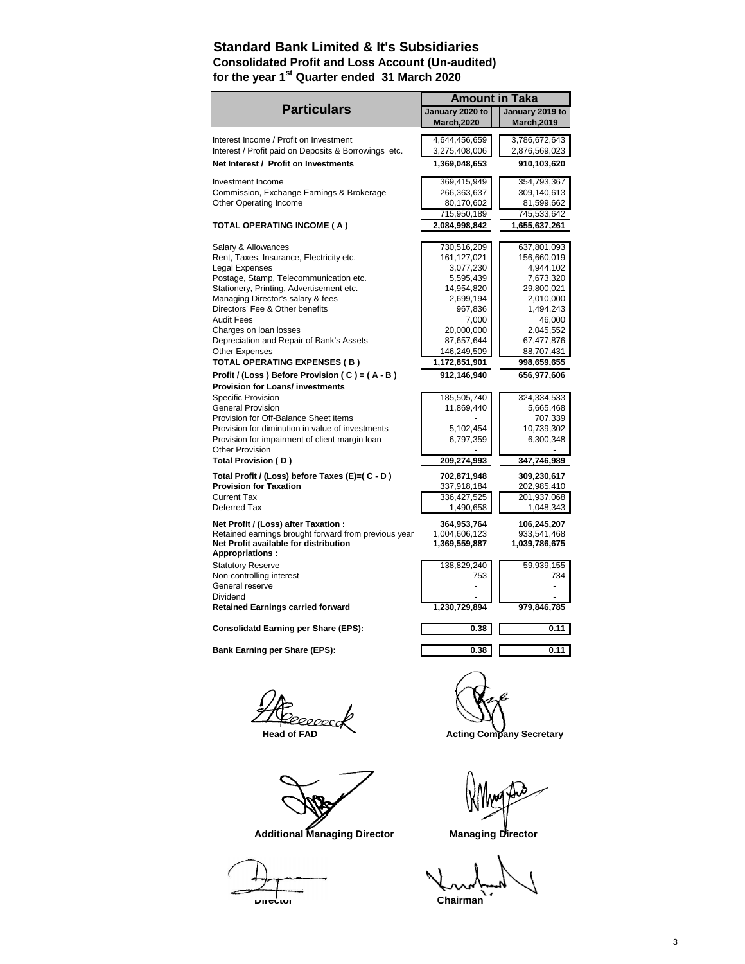# **Standard Bank Limited & It's Subsidiaries Consolidated Profit and Loss Account (Un-audited) for the year 1st Quarter ended 31 March 2020**

|                                                      | <b>Amount in Taka</b> |                                 |  |  |
|------------------------------------------------------|-----------------------|---------------------------------|--|--|
| <b>Particulars</b>                                   | January 2020 to       | January 2019 to                 |  |  |
|                                                      | <b>March, 2020</b>    | <b>March, 2019</b>              |  |  |
| Interest Income / Profit on Investment               | 4,644,456,659         | 3,786,672,643                   |  |  |
| Interest / Profit paid on Deposits & Borrowings etc. | 3,275,408,006         | 2,876,569,023                   |  |  |
| Net Interest / Profit on Investments                 |                       |                                 |  |  |
|                                                      | 1,369,048,653         | 910,103,620                     |  |  |
| Investment Income                                    | 369,415,949           | 354,793,367                     |  |  |
| Commission, Exchange Earnings & Brokerage            | 266,363,637           | 309,140,613                     |  |  |
| Other Operating Income                               | 80,170,602            | 81,599,662                      |  |  |
|                                                      | 715,950,189           | 745,533,642                     |  |  |
| TOTAL OPERATING INCOME ( A )                         | 2,084,998,842         | 1,655,637,261                   |  |  |
|                                                      |                       |                                 |  |  |
| Salary & Allowances                                  | 730,516,209           | 637,801,093                     |  |  |
| Rent, Taxes, Insurance, Electricity etc.             | 161,127,021           | 156,660,019                     |  |  |
| Legal Expenses                                       | 3,077,230             | 4,944,102                       |  |  |
| Postage, Stamp, Telecommunication etc.               | 5,595,439             | 7,673,320                       |  |  |
| Stationery, Printing, Advertisement etc.             | 14,954,820            | 29,800,021                      |  |  |
| Managing Director's salary & fees                    | 2,699,194             | 2,010,000                       |  |  |
| Directors' Fee & Other benefits                      | 967,836               | 1,494,243                       |  |  |
| <b>Audit Fees</b>                                    | 7,000                 | 46,000                          |  |  |
| Charges on loan losses                               | 20,000,000            | 2,045,552                       |  |  |
| Depreciation and Repair of Bank's Assets             | 87,657,644            | 67,477,876                      |  |  |
| <b>Other Expenses</b>                                | 146,249,509           | 88,707,431                      |  |  |
| TOTAL OPERATING EXPENSES (B)                         | 1,172,851,901         | 998,659,655                     |  |  |
| Profit / (Loss) Before Provision (C) = (A-B)         | 912,146,940           | 656,977,606                     |  |  |
| <b>Provision for Loans/ investments</b>              |                       |                                 |  |  |
| <b>Specific Provision</b>                            | 185,505,740           | 324,334,533                     |  |  |
| <b>General Provision</b>                             | 11,869,440            | 5,665,468                       |  |  |
| Provision for Off-Balance Sheet items                |                       | 707,339                         |  |  |
| Provision for diminution in value of investments     | 5,102,454             | 10,739,302                      |  |  |
| Provision for impairment of client margin loan       | 6,797,359             | 6,300,348                       |  |  |
| <b>Other Provision</b>                               |                       |                                 |  |  |
| Total Provision (D)                                  | 209,274,993           | 347,746,989                     |  |  |
| Total Profit / (Loss) before Taxes (E)=( C - D )     | 702,871,948           | 309,230,617                     |  |  |
| <b>Provision for Taxation</b>                        | 337,918,184           | 202,985,410                     |  |  |
| <b>Current Tax</b>                                   | 336,427,525           | 201,937,068                     |  |  |
| Deferred Tax                                         | 1,490,658             | 1,048,343                       |  |  |
| Net Profit / (Loss) after Taxation :                 | 364,953,764           | 106,245,207                     |  |  |
| Retained earnings brought forward from previous year | 1,004,606,123         | 933,541,468                     |  |  |
| Net Profit available for distribution                | 1,369,559,887         | 1,039,786,675                   |  |  |
| <b>Appropriations:</b>                               |                       |                                 |  |  |
| <b>Statutory Reserve</b>                             | 138,829,240           | 59,939,155                      |  |  |
| Non-controlling interest                             | 753                   | 734                             |  |  |
| General reserve                                      |                       |                                 |  |  |
| Dividend                                             |                       |                                 |  |  |
| <b>Retained Earnings carried forward</b>             | 1,230,729,894         | 979,846,785                     |  |  |
|                                                      |                       |                                 |  |  |
| <b>Consolidatd Earning per Share (EPS):</b>          | 0.38                  | 0.11                            |  |  |
| <b>Bank Earning per Share (EPS):</b>                 | 0.38                  | 0.11                            |  |  |
|                                                      |                       |                                 |  |  |
|                                                      |                       |                                 |  |  |
| <b>Head of FAD</b>                                   |                       | <b>Acting Company Secretary</b> |  |  |



Additional Managing Director **Managing Director** 

Chairman<sup>1</sup>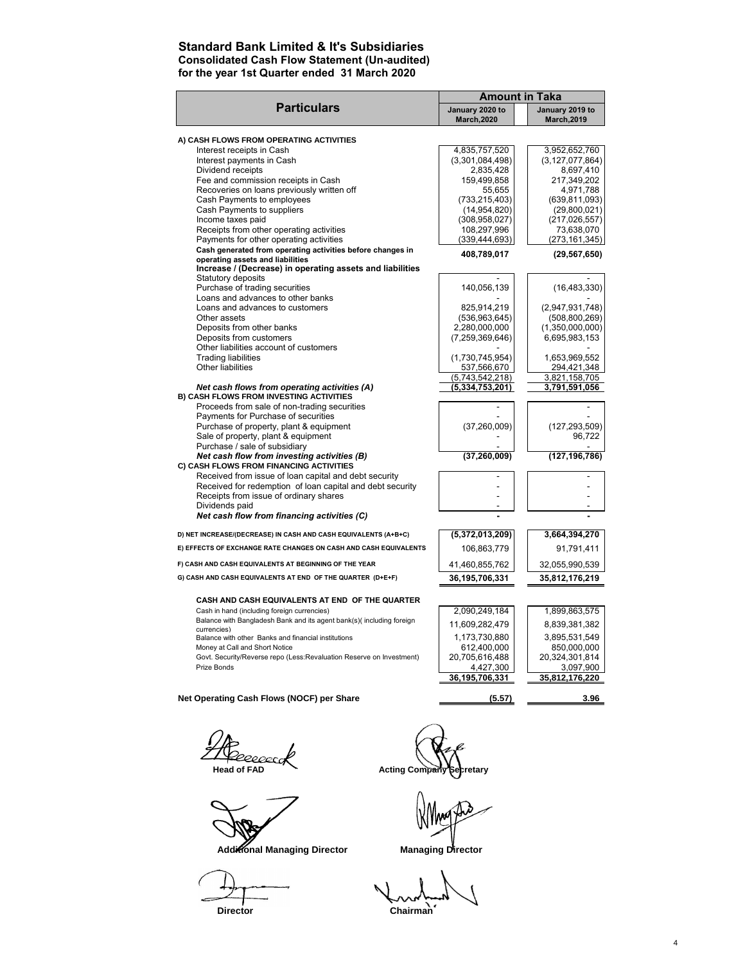### **Standard Bank Limited & It's Subsidiaries Consolidated Cash Flow Statement (Un-audited) for the year 1st Quarter ended 31 March 2020**

|                                                                                                | <b>Amount in Taka</b>                 |                                       |
|------------------------------------------------------------------------------------------------|---------------------------------------|---------------------------------------|
| <b>Particulars</b>                                                                             | January 2020 to<br><b>March, 2020</b> | January 2019 to<br><b>March, 2019</b> |
| A) CASH FLOWS FROM OPERATING ACTIVITIES                                                        |                                       |                                       |
| Interest receipts in Cash                                                                      | 4,835,757,520                         | 3,952,652,760                         |
| Interest payments in Cash                                                                      | (3,301,084,498)                       | (3, 127, 077, 864)                    |
| Dividend receipts                                                                              | 2,835,428                             | 8,697,410                             |
| Fee and commission receipts in Cash                                                            | 159,499,858                           | 217,349,202                           |
| Recoveries on loans previously written off                                                     | 55.655                                | 4,971,788                             |
| Cash Payments to employees                                                                     | (733, 215, 403)                       | (639, 811, 093)                       |
| Cash Payments to suppliers                                                                     | (14,954,820)                          | (29,800,021)                          |
| Income taxes paid                                                                              | (308, 958, 027)                       | (217, 026, 557)                       |
| Receipts from other operating activities                                                       | 108,297,996                           | 73,638,070                            |
| Payments for other operating activities                                                        | (339, 444, 693)                       | (273, 161, 345)                       |
| Cash generated from operating activities before changes in<br>operating assets and liabilities | 408,789,017                           | (29, 567, 650)                        |
| Increase / (Decrease) in operating assets and liabilities<br>Statutory deposits                |                                       |                                       |
| Purchase of trading securities                                                                 | 140,056,139                           | (16, 483, 330)                        |
| Loans and advances to other banks                                                              |                                       |                                       |
| Loans and advances to customers                                                                | 825,914,219                           | (2,947,931,748)                       |
| Other assets                                                                                   | (536, 963, 645)                       | (508, 800, 269)                       |
| Deposits from other banks                                                                      | 2,280,000,000                         | (1,350,000,000)                       |
| Deposits from customers                                                                        | (7,259,369,646)                       | 6,695,983,153                         |
| Other liabilities account of customers                                                         |                                       |                                       |
| <b>Trading liabilities</b>                                                                     | (1,730,745,954)                       | 1,653,969,552                         |
| Other liabilities                                                                              | 537,566,670                           | 294,421,348                           |
|                                                                                                | (5,743,542,218)                       | 3,821,158,705                         |
| Net cash flows from operating activities (A)<br>B) CASH FLOWS FROM INVESTING ACTIVITIES        | (5,334,753,201)                       | 3,791,591,056                         |
| Proceeds from sale of non-trading securities                                                   |                                       |                                       |
| Payments for Purchase of securities                                                            |                                       |                                       |
| Purchase of property, plant & equipment                                                        | (37, 260, 009)                        | (127, 293, 509)                       |
| Sale of property, plant & equipment                                                            |                                       | 96,722                                |
| Purchase / sale of subsidiary                                                                  |                                       |                                       |
| Net cash flow from investing activities (B)<br>C) CASH FLOWS FROM FINANCING ACTIVITIES         | (37, 260, 009)                        | (127, 196, 786)                       |
| Received from issue of loan capital and debt security                                          |                                       |                                       |
| Received for redemption of loan capital and debt security                                      |                                       |                                       |
| Receipts from issue of ordinary shares<br>Dividends paid                                       |                                       |                                       |
| Net cash flow from financing activities (C)                                                    |                                       |                                       |
| D) NET INCREASE/(DECREASE) IN CASH AND CASH EQUIVALENTS (A+B+C)                                |                                       |                                       |
|                                                                                                | (5,372,013,209)                       | 3,664,394,270                         |
| E) EFFECTS OF EXCHANGE RATE CHANGES ON CASH AND CASH EQUIVALENTS                               | 106,863,779                           | 91,791,411                            |
| F) CASH AND CASH EQUIVALENTS AT BEGINNING OF THE YEAR                                          | 41,460,855,762                        | 32,055,990,539                        |
| G) CASH AND CASH EQUIVALENTS AT END OF THE QUARTER (D+E+F)                                     | 36, 195, 706, 331                     | 35,812,176,219                        |
| CASH AND CASH EQUIVALENTS AT END OF THE QUARTER                                                |                                       |                                       |
| Cash in hand (including foreign currencies)                                                    | 2,090,249,184                         | 1,899,863,575                         |
| Balance with Bangladesh Bank and its agent bank(s)(including foreign                           | 11,609,282,479                        | 8,839,381,382                         |
| currencies)                                                                                    |                                       |                                       |
| Balance with other Banks and financial institutions                                            | 1,173,730,880                         | 3,895,531,549                         |
| Money at Call and Short Notice                                                                 | 612,400,000                           | 850,000,000                           |
| Govt. Security/Reverse repo (Less:Revaluation Reserve on Investment)<br>Prize Bonds            | 20,705,616,488                        | 20,324,301,814<br>3,097,900           |
|                                                                                                | 4,427,300<br>36,195,706,331           | 35,812,176,220                        |
|                                                                                                |                                       |                                       |
| Net Operating Cash Flows (NOCF) per Share                                                      | (5.57)                                | 3.96                                  |

,<br>20000cc

Additional Managing Director **Managing Director** 

 **Head of FAD** Acting Company Secretary

**Director** Chairman<sup>o</sup>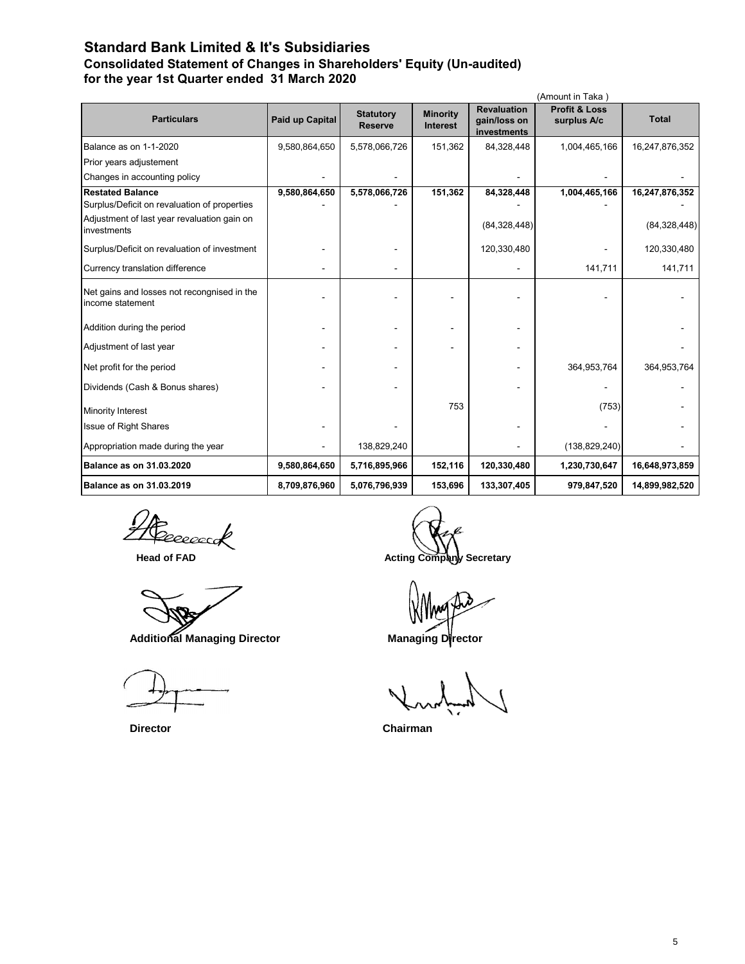# **Standard Bank Limited & It's Subsidiaries Consolidated Statement of Changes in Shareholders' Equity (Un-audited) for the year 1st Quarter ended 31 March 2020**

| (Amount in Taka)                                                |                 |                                    |                                    |                                                   |                                         |                |
|-----------------------------------------------------------------|-----------------|------------------------------------|------------------------------------|---------------------------------------------------|-----------------------------------------|----------------|
| <b>Particulars</b>                                              | Paid up Capital | <b>Statutory</b><br><b>Reserve</b> | <b>Minority</b><br><b>Interest</b> | <b>Revaluation</b><br>gain/loss on<br>investments | <b>Profit &amp; Loss</b><br>surplus A/c | <b>Total</b>   |
| Balance as on 1-1-2020                                          | 9,580,864,650   | 5,578,066,726                      | 151,362                            | 84,328,448                                        | 1,004,465,166                           | 16,247,876,352 |
| Prior years adjustement                                         |                 |                                    |                                    |                                                   |                                         |                |
| Changes in accounting policy                                    |                 |                                    |                                    |                                                   |                                         |                |
| <b>Restated Balance</b>                                         | 9,580,864,650   | 5,578,066,726                      | 151,362                            | 84,328,448                                        | 1,004,465,166                           | 16,247,876,352 |
| Surplus/Deficit on revaluation of properties                    |                 |                                    |                                    |                                                   |                                         |                |
| Adjustment of last year revaluation gain on<br>investments      |                 |                                    |                                    | (84, 328, 448)                                    |                                         | (84, 328, 448) |
| Surplus/Deficit on revaluation of investment                    |                 |                                    |                                    | 120,330,480                                       |                                         | 120,330,480    |
| Currency translation difference                                 |                 |                                    |                                    |                                                   | 141,711                                 | 141,711        |
| Net gains and losses not recongnised in the<br>income statement |                 |                                    |                                    |                                                   |                                         |                |
| Addition during the period                                      |                 |                                    |                                    |                                                   |                                         |                |
| Adjustment of last year                                         |                 |                                    |                                    |                                                   |                                         |                |
| Net profit for the period                                       |                 |                                    |                                    |                                                   | 364,953,764                             | 364,953,764    |
| Dividends (Cash & Bonus shares)                                 |                 |                                    |                                    |                                                   |                                         |                |
| <b>Minority Interest</b>                                        |                 |                                    | 753                                |                                                   | (753)                                   |                |
| <b>Issue of Right Shares</b>                                    |                 |                                    |                                    |                                                   |                                         |                |
| Appropriation made during the year                              |                 | 138,829,240                        |                                    |                                                   | (138, 829, 240)                         |                |
| <b>Balance as on 31.03.2020</b>                                 | 9,580,864,650   | 5,716,895,966                      | 152,116                            | 120,330,480                                       | 1,230,730,647                           | 16,648,973,859 |
| <b>Balance as on 31.03.2019</b>                                 | 8,709,876,960   | 5,076,796,939                      | 153,696                            | 133,307,405                                       | 979,847,520                             | 14,899,982,520 |

eeeec

Additional Managing Director **Managing Director** 

 **Head of FAD Acting Company Secretary** 

 **Director Chairman**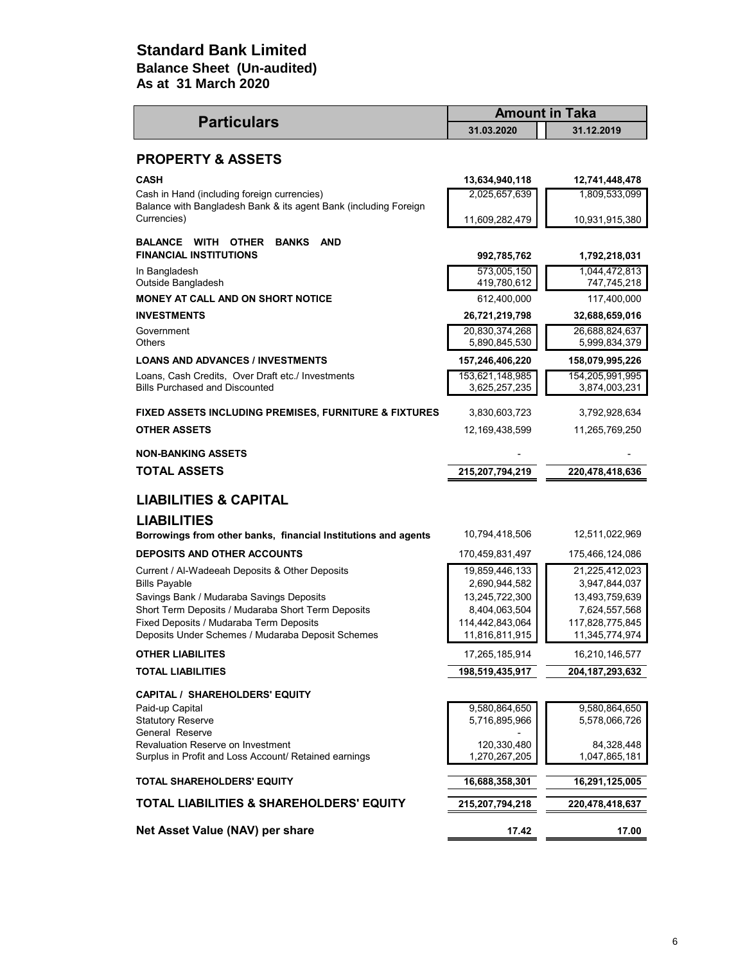# **As at 31 March 2020 Standard Bank Limited Balance Sheet (Un-audited)**

|                                                                                                                 | <b>Amount in Taka</b>            |                                  |  |
|-----------------------------------------------------------------------------------------------------------------|----------------------------------|----------------------------------|--|
| <b>Particulars</b>                                                                                              | 31.03.2020                       | 31.12.2019                       |  |
| <b>PROPERTY &amp; ASSETS</b>                                                                                    |                                  |                                  |  |
| <b>CASH</b>                                                                                                     | 13,634,940,118                   | 12,741,448,478                   |  |
| Cash in Hand (including foreign currencies)<br>Balance with Bangladesh Bank & its agent Bank (including Foreign | 2,025,657,639                    | 1,809,533,099                    |  |
| Currencies)                                                                                                     | 11,609,282,479                   | 10,931,915,380                   |  |
| <b>OTHER</b><br><b>BANKS</b><br><b>AND</b><br><b>BALANCE WITH</b><br><b>FINANCIAL INSTITUTIONS</b>              | 992,785,762                      | 1,792,218,031                    |  |
| In Bangladesh<br>Outside Bangladesh                                                                             | 573,005,150<br>419,780,612       | 1,044,472,813<br>747,745,218     |  |
| <b>MONEY AT CALL AND ON SHORT NOTICE</b>                                                                        | 612,400,000                      | 117,400,000                      |  |
| <b>INVESTMENTS</b>                                                                                              | 26,721,219,798                   | 32,688,659,016                   |  |
| Government<br><b>Others</b>                                                                                     | 20,830,374,268<br>5,890,845,530  | 26,688,824,637<br>5,999,834,379  |  |
| <b>LOANS AND ADVANCES / INVESTMENTS</b>                                                                         | 157,246,406,220                  | 158,079,995,226                  |  |
| Loans, Cash Credits, Over Draft etc./ Investments<br><b>Bills Purchased and Discounted</b>                      | 153,621,148,985<br>3,625,257,235 | 154,205,991,995<br>3,874,003,231 |  |
| FIXED ASSETS INCLUDING PREMISES, FURNITURE & FIXTURES                                                           | 3,830,603,723                    | 3,792,928,634                    |  |
| <b>OTHER ASSETS</b>                                                                                             | 12,169,438,599                   | 11,265,769,250                   |  |
| <b>NON-BANKING ASSETS</b>                                                                                       |                                  |                                  |  |
| <b>TOTAL ASSETS</b>                                                                                             | 215,207,794,219                  | 220,478,418,636                  |  |
| <b>LIABILITIES &amp; CAPITAL</b>                                                                                |                                  |                                  |  |
| <b>LIABILITIES</b><br>Borrowings from other banks, financial Institutions and agents                            | 10,794,418,506                   | 12,511,022,969                   |  |
| <b>DEPOSITS AND OTHER ACCOUNTS</b>                                                                              | 170,459,831,497                  | 175,466,124,086                  |  |
| Current / Al-Wadeeah Deposits & Other Deposits                                                                  | 19,859,446,133                   | 21,225,412,023                   |  |
| <b>Bills Payable</b>                                                                                            | 2,690,944,582                    | 3,947,844,037                    |  |
| Savings Bank / Mudaraba Savings Deposits                                                                        | 13,245,722,300                   | 13,493,759,639                   |  |
| Short Term Deposits / Mudaraba Short Term Deposits<br>Fixed Deposits / Mudaraba Term Deposits                   | 8,404,063,504<br>114,442,843,064 | 7,624,557,568<br>117,828,775,845 |  |
| Deposits Under Schemes / Mudaraba Deposit Schemes                                                               | 11,816,811,915                   | 11,345,774,974                   |  |
| <b>OTHER LIABILITES</b>                                                                                         | 17,265,185,914                   | 16,210,146,577                   |  |
| <b>TOTAL LIABILITIES</b>                                                                                        | 198,519,435,917                  | 204, 187, 293, 632               |  |
| <b>CAPITAL / SHAREHOLDERS' EQUITY</b>                                                                           |                                  |                                  |  |
| Paid-up Capital                                                                                                 | 9,580,864,650                    | 9,580,864,650                    |  |
| <b>Statutory Reserve</b><br>General Reserve                                                                     | 5,716,895,966                    | 5,578,066,726                    |  |
| Revaluation Reserve on Investment<br>Surplus in Profit and Loss Account/ Retained earnings                      | 120,330,480<br>1,270,267,205     | 84,328,448<br>1,047,865,181      |  |
| <b>TOTAL SHAREHOLDERS' EQUITY</b>                                                                               | 16,688,358,301                   | 16,291,125,005                   |  |
| <b>TOTAL LIABILITIES &amp; SHAREHOLDERS' EQUITY</b>                                                             | 215,207,794,218                  | 220,478,418,637                  |  |
| Net Asset Value (NAV) per share                                                                                 | 17.42                            | 17.00                            |  |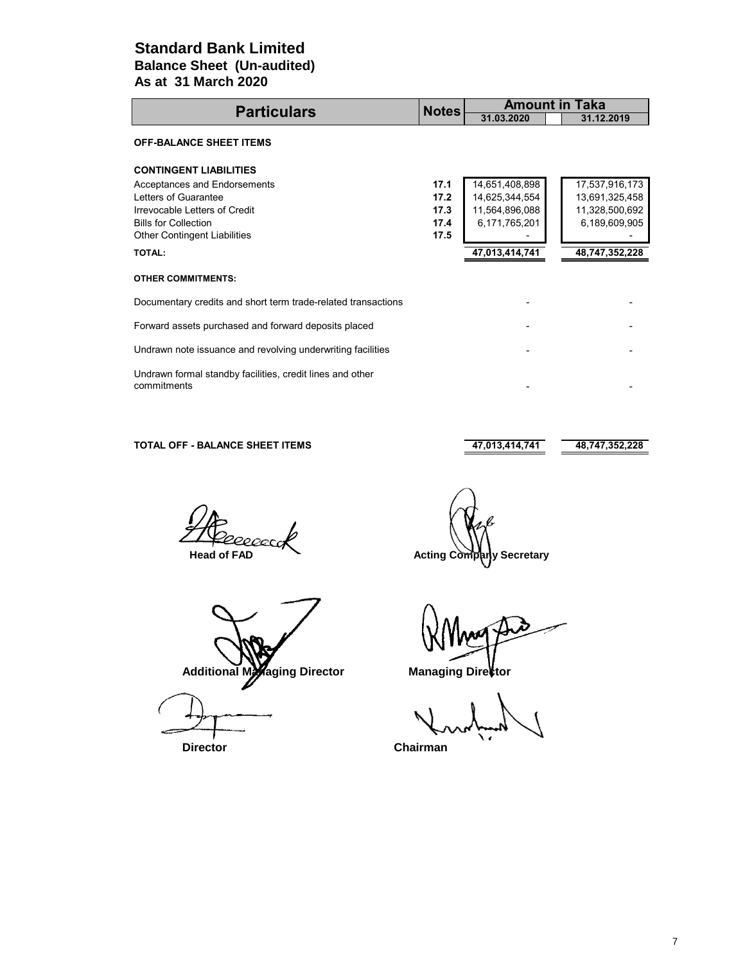# **As at 31 March 2020 Standard Bank Limited Balance Sheet (Un-audited)**

| <b>Particulars</b>                                                       |              | <b>Amount in Taka</b> |                |
|--------------------------------------------------------------------------|--------------|-----------------------|----------------|
|                                                                          | <b>Notes</b> | 31.03.2020            | 31.12.2019     |
| <b>OFF-BALANCE SHEET ITEMS</b>                                           |              |                       |                |
| <b>CONTINGENT LIABILITIES</b>                                            |              |                       |                |
| Acceptances and Endorsements                                             | 17.1         | 14,651,408,898        | 17,537,916,173 |
| Letters of Guarantee                                                     | 17.2         | 14,625,344,554        | 13,691,325,458 |
| Irrevocable Letters of Credit                                            | 17.3         | 11,564,896,088        | 11,328,500,692 |
| <b>Bills for Collection</b>                                              | 17.4         | 6,171,765,201         | 6,189,609,905  |
| <b>Other Contingent Liabilities</b>                                      | 17.5         |                       |                |
| <b>TOTAL:</b>                                                            |              | 47,013,414,741        | 48,747,352,228 |
| <b>OTHER COMMITMENTS:</b>                                                |              |                       |                |
| Documentary credits and short term trade-related transactions            |              |                       |                |
| Forward assets purchased and forward deposits placed                     |              |                       |                |
| Undrawn note issuance and revolving underwriting facilities              |              |                       |                |
| Undrawn formal standby facilities, credit lines and other<br>commitments |              |                       |                |

### **TOTAL OFF - BALANCE SHEET ITEMS 47,013,414,741 48,747,352,228**

20000

Additional Managing Director **Managing Director** 

 **Head of FAD** Acting Company Secretary

 **Director Chairman**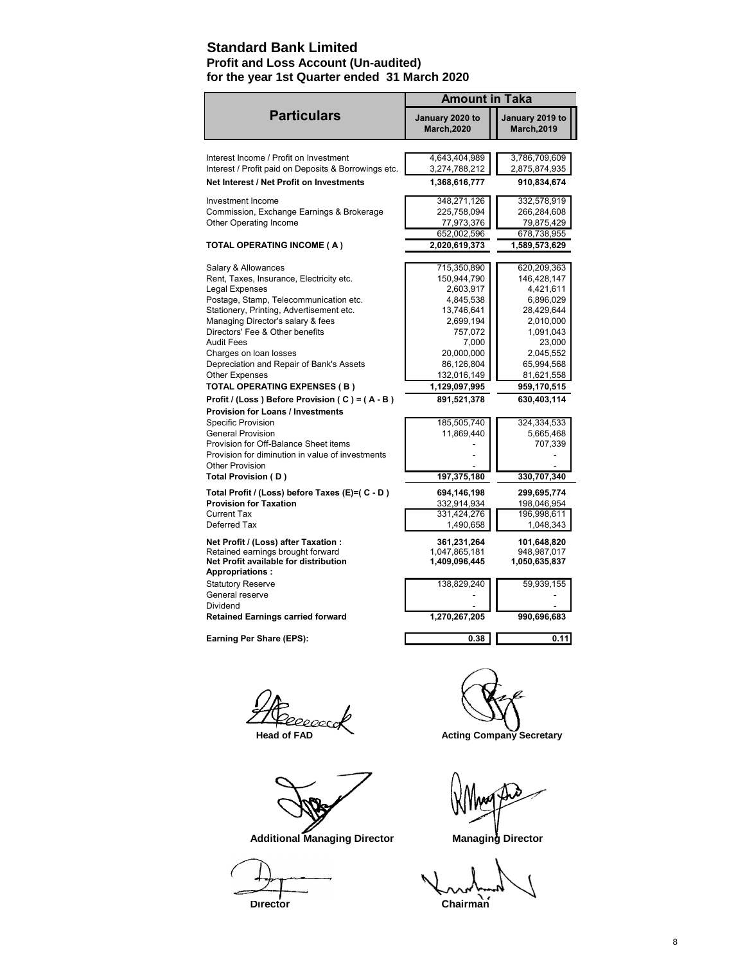# **Standard Bank Limited**

# **Profit and Loss Account (Un-audited) for the year 1st Quarter ended 31 March 2020**

|                                                                                                                                                                                                                                                                                                                                                                                                                                                            | <b>Amount in Taka</b>                                                                                                                                                          |                                                                                                                                                                               |
|------------------------------------------------------------------------------------------------------------------------------------------------------------------------------------------------------------------------------------------------------------------------------------------------------------------------------------------------------------------------------------------------------------------------------------------------------------|--------------------------------------------------------------------------------------------------------------------------------------------------------------------------------|-------------------------------------------------------------------------------------------------------------------------------------------------------------------------------|
| <b>Particulars</b>                                                                                                                                                                                                                                                                                                                                                                                                                                         | January 2020 to<br><b>March, 2020</b>                                                                                                                                          | January 2019 to<br><b>March, 2019</b>                                                                                                                                         |
| Interest Income / Profit on Investment<br>Interest / Profit paid on Deposits & Borrowings etc.                                                                                                                                                                                                                                                                                                                                                             | 4,643,404,989<br>3,274,788,212                                                                                                                                                 | 3,786,709,609<br>2,875,874,935                                                                                                                                                |
| Net Interest / Net Profit on Investments                                                                                                                                                                                                                                                                                                                                                                                                                   | 1,368,616,777                                                                                                                                                                  | 910,834,674                                                                                                                                                                   |
| Investment Income<br>Commission, Exchange Earnings & Brokerage<br>Other Operating Income                                                                                                                                                                                                                                                                                                                                                                   | 348,271,126<br>225,758,094<br>77,973,376<br>652,002,596                                                                                                                        | 332,578,919<br>266,284,608<br>79,875,429<br>678,738,955                                                                                                                       |
| TOTAL OPERATING INCOME (A)                                                                                                                                                                                                                                                                                                                                                                                                                                 | 2,020,619,373                                                                                                                                                                  | 1,589,573,629                                                                                                                                                                 |
| Salary & Allowances<br>Rent, Taxes, Insurance, Electricity etc.<br>Legal Expenses<br>Postage, Stamp, Telecommunication etc.<br>Stationery, Printing, Advertisement etc.<br>Managing Director's salary & fees<br>Directors' Fee & Other benefits<br><b>Audit Fees</b><br>Charges on loan losses<br>Depreciation and Repair of Bank's Assets<br><b>Other Expenses</b><br><b>TOTAL OPERATING EXPENSES (B)</b><br>Profit / (Loss) Before Provision (C) = (A-B) | 715,350,890<br>150,944,790<br>2,603,917<br>4,845,538<br>13,746,641<br>2,699,194<br>757,072<br>7,000<br>20,000,000<br>86,126,804<br>132,016,149<br>1,129,097,995<br>891,521,378 | 620,209,363<br>146,428,147<br>4,421,611<br>6,896,029<br>28,429,644<br>2,010,000<br>1,091,043<br>23,000<br>2,045,552<br>65,994,568<br>81,621,558<br>959,170,515<br>630,403,114 |
| <b>Provision for Loans / Investments</b><br>Specific Provision<br><b>General Provision</b><br>Provision for Off-Balance Sheet items<br>Provision for diminution in value of investments<br><b>Other Provision</b><br>Total Provision (D)                                                                                                                                                                                                                   | 185,505,740<br>11,869,440<br>197,375,180                                                                                                                                       | 324,334,533<br>5,665,468<br>707,339<br>330,707,340                                                                                                                            |
| Total Profit / (Loss) before Taxes (E)=( C - D)<br><b>Provision for Taxation</b><br><b>Current Tax</b><br>Deferred Tax                                                                                                                                                                                                                                                                                                                                     | 694,146,198<br>332,914,934<br>331,424,276<br>1,490,658                                                                                                                         | 299,695,774<br>198,046,954<br>196,998,611<br>1,048,343                                                                                                                        |
| Net Profit / (Loss) after Taxation :<br>Retained earnings brought forward<br>Net Profit available for distribution<br>Appropriations:                                                                                                                                                                                                                                                                                                                      | 361,231,264<br>1,047,865,181<br>1,409,096,445                                                                                                                                  | 101,648,820<br>948.987.017<br>1,050,635,837                                                                                                                                   |
| <b>Statutory Reserve</b><br>General reserve<br>Dividend<br><b>Retained Earnings carried forward</b>                                                                                                                                                                                                                                                                                                                                                        | 138,829,240<br>1,270,267,205                                                                                                                                                   | 59,939,155<br>990,696,683                                                                                                                                                     |
| Earning Per Share (EPS):                                                                                                                                                                                                                                                                                                                                                                                                                                   | 0.38                                                                                                                                                                           | 0.11                                                                                                                                                                          |
|                                                                                                                                                                                                                                                                                                                                                                                                                                                            |                                                                                                                                                                                |                                                                                                                                                                               |

20000cc

 **Additional Managing Director Managing Director** 

**Director** Chairman<sup>1</sup>

**Head of FAD** Acting Company Secretary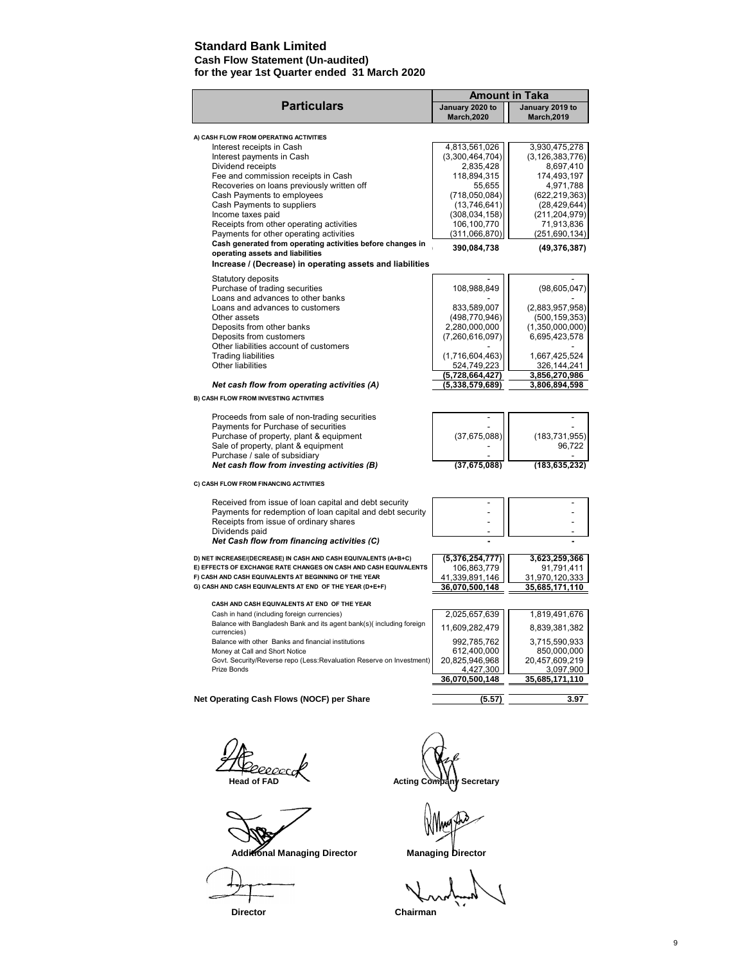### **Standard Bank Limited**

#### **Cash Flow Statement (Un-audited) for the year 1st Quarter ended 31 March 2020**

|                                                                                     |                                       | <b>Amount in Taka</b>                 |  |
|-------------------------------------------------------------------------------------|---------------------------------------|---------------------------------------|--|
| <b>Particulars</b>                                                                  | January 2020 to<br><b>March, 2020</b> | January 2019 to<br><b>March, 2019</b> |  |
| A) CASH FLOW FROM OPERATING ACTIVITIES                                              |                                       |                                       |  |
| Interest receipts in Cash                                                           | 4,813,561,026                         | 3,930,475,278                         |  |
| Interest payments in Cash                                                           | (3,300,464,704)                       | (3, 126, 383, 776)                    |  |
| Dividend receipts                                                                   | 2,835,428                             | 8,697,410                             |  |
| Fee and commission receipts in Cash                                                 | 118,894,315                           | 174,493,197                           |  |
| Recoveries on loans previously written off                                          | 55,655                                | 4,971,788                             |  |
| Cash Payments to employees                                                          | (718,050,084)                         | (622, 219, 363)                       |  |
| Cash Payments to suppliers                                                          | (13,746,641)                          | (28, 429, 644)                        |  |
| Income taxes paid                                                                   | (308, 034, 158)                       | (211, 204, 979)                       |  |
| Receipts from other operating activities                                            | 106,100,770                           | 71,913,836                            |  |
| Payments for other operating activities                                             | (311,066,870)                         | (251, 690, 134)                       |  |
| Cash generated from operating activities before changes in                          | 390,084,738                           |                                       |  |
| operating assets and liabilities                                                    |                                       | (49, 376, 387)                        |  |
| Increase / (Decrease) in operating assets and liabilities                           |                                       |                                       |  |
| Statutory deposits                                                                  |                                       |                                       |  |
| Purchase of trading securities                                                      | 108,988,849                           | (98, 605, 047)                        |  |
| Loans and advances to other banks                                                   |                                       |                                       |  |
| Loans and advances to customers                                                     | 833,589,007                           | (2,883,957,958)                       |  |
| Other assets                                                                        | (498, 770, 946)                       | (500, 159, 353)                       |  |
| Deposits from other banks                                                           | 2,280,000,000                         | (1,350,000,000)                       |  |
| Deposits from customers                                                             | (7,260,616,097)                       | 6,695,423,578                         |  |
| Other liabilities account of customers                                              |                                       |                                       |  |
| <b>Trading liabilities</b>                                                          | (1,716,604,463)                       | 1,667,425,524                         |  |
| Other liabilities                                                                   | 524,749,223                           | 326,144,241                           |  |
|                                                                                     | $\overline{(5,728,664,427)}$          | 3,856,270,986                         |  |
| Net cash flow from operating activities (A)                                         | (5,338,579,689)                       | 3,806,894,598                         |  |
| B) CASH FLOW FROM INVESTING ACTIVITIES                                              |                                       |                                       |  |
| Proceeds from sale of non-trading securities                                        |                                       |                                       |  |
| Payments for Purchase of securities                                                 |                                       |                                       |  |
| Purchase of property, plant & equipment                                             | (37, 675, 088)                        | (183, 731, 955)                       |  |
| Sale of property, plant & equipment                                                 |                                       | 96,722                                |  |
| Purchase / sale of subsidiary                                                       |                                       |                                       |  |
| Net cash flow from investing activities (B)                                         | (37.675.088)                          | (183.635.232)                         |  |
| C) CASH FLOW FROM FINANCING ACTIVITIES                                              |                                       |                                       |  |
| Received from issue of loan capital and debt security                               |                                       |                                       |  |
| Payments for redemption of loan capital and debt security                           |                                       |                                       |  |
| Receipts from issue of ordinary shares                                              |                                       |                                       |  |
| Dividends paid                                                                      |                                       |                                       |  |
| Net Cash flow from financing activities (C)                                         |                                       |                                       |  |
| D) NET INCREASE/(DECREASE) IN CASH AND CASH EQUIVALENTS (A+B+C)                     | (5,376,254,777)                       | 3,623,259,366                         |  |
| E) EFFECTS OF EXCHANGE RATE CHANGES ON CASH AND CASH EQUIVALENTS                    | 106,863,779                           | 91,791,411                            |  |
| F) CASH AND CASH EQUIVALENTS AT BEGINNING OF THE YEAR                               | 41,339,891,146                        | 31,970,120,333                        |  |
| G) CASH AND CASH EQUIVALENTS AT END OF THE YEAR (D+E+F)                             | 36,070,500,148                        | 35,685,171,110                        |  |
|                                                                                     |                                       |                                       |  |
| CASH AND CASH EQUIVALENTS AT END OF THE YEAR                                        |                                       |                                       |  |
| Cash in hand (including foreign currencies)                                         | 2,025,657,639                         | 1,819,491,676                         |  |
| Balance with Bangladesh Bank and its agent bank(s)(including foreign<br>currencies) | 11,609,282,479                        | 8,839,381,382                         |  |
| Balance with other Banks and financial institutions                                 | 992,785,762                           | 3,715,590,933                         |  |
| Money at Call and Short Notice                                                      | 612,400,000                           | 850,000,000                           |  |
| Govt. Security/Reverse repo (Less:Revaluation Reserve on Investment)                | 20,825,946,968                        | 20.457.609.219                        |  |
| Prize Bonds                                                                         | 4,427,300                             | 3,097,900                             |  |
|                                                                                     | 36,070,500,148                        | 35,685,171,110                        |  |
| Net Operating Cash Flows (NOCF) per Share                                           | (5.57)                                | 3.97                                  |  |
|                                                                                     |                                       |                                       |  |
|                                                                                     |                                       |                                       |  |

Additional Managing Director **Managing Director** 

**THE RECECCION Acting Company Secretary** 

 **Director Chairman**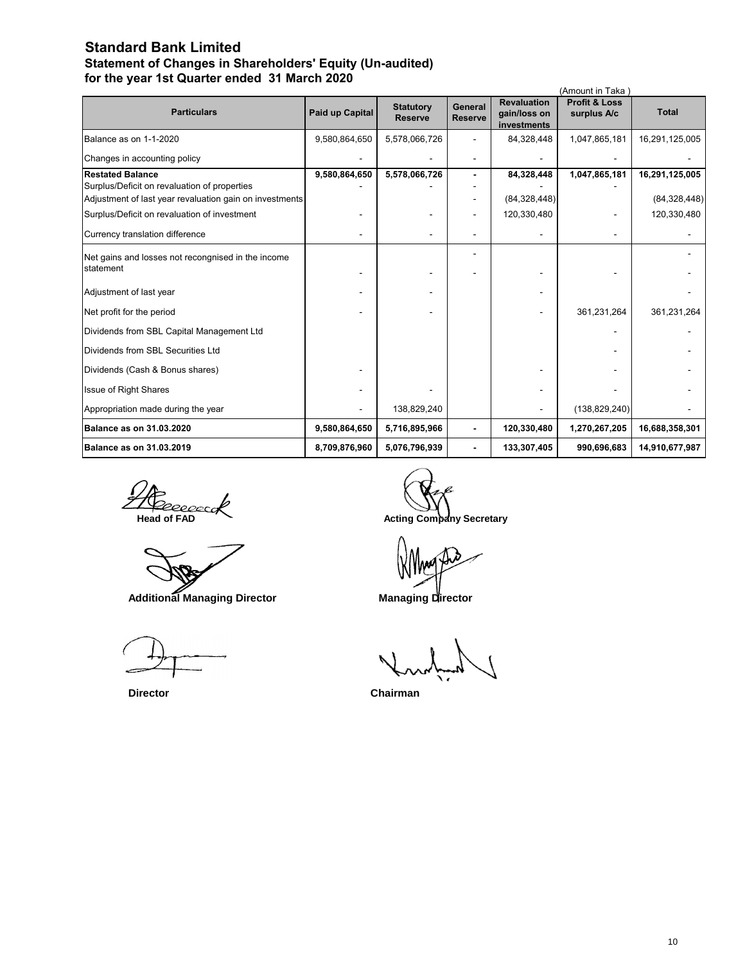# **Standard Bank Limited Statement of Changes in Shareholders' Equity (Un-audited) for the year 1st Quarter ended 31 March 2020**

| (Amount in Taka)                                                                                        |                 |                                    |                           |                                                   |                                         |                |
|---------------------------------------------------------------------------------------------------------|-----------------|------------------------------------|---------------------------|---------------------------------------------------|-----------------------------------------|----------------|
| <b>Particulars</b>                                                                                      | Paid up Capital | <b>Statutory</b><br><b>Reserve</b> | General<br><b>Reserve</b> | <b>Revaluation</b><br>gain/loss on<br>investments | <b>Profit &amp; Loss</b><br>surplus A/c | <b>Total</b>   |
| Balance as on 1-1-2020                                                                                  | 9,580,864,650   | 5,578,066,726                      |                           | 84,328,448                                        | 1,047,865,181                           | 16,291,125,005 |
| Changes in accounting policy                                                                            |                 |                                    |                           |                                                   |                                         |                |
| <b>Restated Balance</b>                                                                                 | 9,580,864,650   | 5,578,066,726                      |                           | 84,328,448                                        | 1,047,865,181                           | 16,291,125,005 |
| Surplus/Deficit on revaluation of properties<br>Adjustment of last year revaluation gain on investments |                 |                                    |                           | (84, 328, 448)                                    |                                         | (84, 328, 448) |
| Surplus/Deficit on revaluation of investment                                                            |                 |                                    |                           | 120,330,480                                       |                                         | 120,330,480    |
| Currency translation difference                                                                         |                 |                                    |                           |                                                   |                                         |                |
| Net gains and losses not recongnised in the income<br>statement                                         |                 |                                    |                           |                                                   |                                         |                |
| Adjustment of last year                                                                                 |                 |                                    |                           |                                                   |                                         |                |
| Net profit for the period                                                                               |                 |                                    |                           |                                                   | 361,231,264                             | 361,231,264    |
| Dividends from SBL Capital Management Ltd                                                               |                 |                                    |                           |                                                   |                                         |                |
| Dividends from SBL Securities Ltd                                                                       |                 |                                    |                           |                                                   |                                         |                |
| Dividends (Cash & Bonus shares)                                                                         |                 |                                    |                           |                                                   |                                         |                |
| Issue of Right Shares                                                                                   |                 |                                    |                           |                                                   |                                         |                |
| Appropriation made during the year                                                                      |                 | 138,829,240                        |                           |                                                   | (138, 829, 240)                         |                |
| <b>Balance as on 31.03.2020</b>                                                                         | 9,580,864,650   | 5,716,895,966                      |                           | 120,330,480                                       | 1,270,267,205                           | 16,688,358,301 |
| <b>Balance as on 31.03.2019</b>                                                                         | 8,709,876,960   | 5,076,796,939                      |                           | 133,307,405                                       | 990,696,683                             | 14,910,677,987 |

**The Research Acting Company Secretary**<br>
Head of FAD Acting Company Secretary

 **Additional Managing Director Managing Director** 

 **Director Chairman**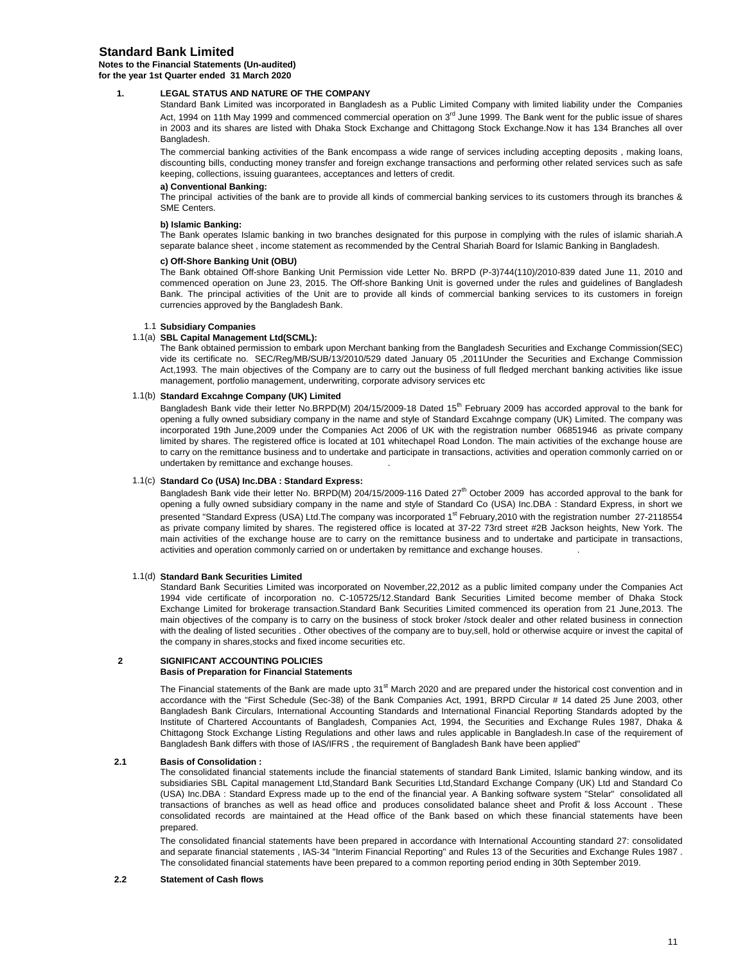### **Standard Bank Limited**

**Notes to the Financial Statements (Un-audited)**

**for the year 1st Quarter ended 31 March 2020**

### **1. LEGAL STATUS AND NATURE OF THE COMPANY**

Standard Bank Limited was incorporated in Bangladesh as a Public Limited Company with limited liability under the Companies Act, 1994 on 11th May 1999 and commenced commercial operation on 3<sup>rd</sup> June 1999. The Bank went for the public issue of shares in 2003 and its shares are listed with Dhaka Stock Exchange and Chittagong Stock Exchange.Now it has 134 Branches all over Bangladesh.

The commercial banking activities of the Bank encompass a wide range of services including accepting deposits , making loans, discounting bills, conducting money transfer and foreign exchange transactions and performing other related services such as safe keeping, collections, issuing guarantees, acceptances and letters of credit.

#### **a) Conventional Banking:**

The principal activities of the bank are to provide all kinds of commercial banking services to its customers through its branches & SME Centers.

#### **b) Islamic Banking:**

The Bank operates Islamic banking in two branches designated for this purpose in complying with the rules of islamic shariah.A separate balance sheet , income statement as recommended by the Central Shariah Board for Islamic Banking in Bangladesh.

#### **c) Off-Shore Banking Unit (OBU)**

The Bank obtained Off-shore Banking Unit Permission vide Letter No. BRPD (P-3)744(110)/2010-839 dated June 11, 2010 and commenced operation on June 23, 2015. The Off-shore Banking Unit is governed under the rules and guidelines of Bangladesh Bank. The principal activities of the Unit are to provide all kinds of commercial banking services to its customers in foreign currencies approved by the Bangladesh Bank.

#### 1.1 **Subsidiary Companies**

#### 1.1(a) **SBL Capital Management Ltd(SCML):**

The Bank obtained permission to embark upon Merchant banking from the Bangladesh Securities and Exchange Commission(SEC) vide its certificate no. SEC/Reg/MB/SUB/13/2010/529 dated January 05 ,2011Under the Securities and Exchange Commission Act,1993. The main objectives of the Company are to carry out the business of full fledged merchant banking activities like issue management, portfolio management, underwriting, corporate advisory services etc

#### 1.1(b) **Standard Excahnge Company (UK) Limited**

Bangladesh Bank vide their letter No.BRPD(M) 204/15/2009-18 Dated 15<sup>th</sup> February 2009 has accorded approval to the bank for opening a fully owned subsidiary company in the name and style of Standard Excahnge company (UK) Limited. The company was incorporated 19th June,2009 under the Companies Act 2006 of UK with the registration number 06851946 as private company limited by shares. The registered office is located at 101 whitechapel Road London. The main activities of the exchange house are to carry on the remittance business and to undertake and participate in transactions, activities and operation commonly carried on or undertaken by remittance and exchange houses. .

#### 1.1(c) **Standard Co (USA) Inc.DBA : Standard Express:**

Bangladesh Bank vide their letter No. BRPD(M) 204/15/2009-116 Dated 27<sup>th</sup> October 2009 has accorded approval to the bank for opening a fully owned subsidiary company in the name and style of Standard Co (USA) Inc.DBA : Standard Express, in short we presented "Standard Express (USA) Ltd.The company was incorporated 1<sup>st</sup> February,2010 with the registration number 27-2118554 as private company limited by shares. The registered office is located at 37-22 73rd street #2B Jackson heights, New York. The main activities of the exchange house are to carry on the remittance business and to undertake and participate in transactions, activities and operation commonly carried on or undertaken by remittance and exchange houses. .

#### 1.1(d) **Standard Bank Securities Limited**

Standard Bank Securities Limited was incorporated on November,22,2012 as a public limited company under the Companies Act 1994 vide certificate of incorporation no. C-105725/12.Standard Bank Securities Limited become member of Dhaka Stock Exchange Limited for brokerage transaction.Standard Bank Securities Limited commenced its operation from 21 June,2013. The main objectives of the company is to carry on the business of stock broker /stock dealer and other related business in connection with the dealing of listed securities . Other obectives of the company are to buy,sell, hold or otherwise acquire or invest the capital of the company in shares,stocks and fixed income securities etc.

#### **2 SIGNIFICANT ACCOUNTING POLICIES Basis of Preparation for Financial Statements**

The Financial statements of the Bank are made upto 31<sup>st</sup> March 2020 and are prepared under the historical cost convention and in accordance with the "First Schedule (Sec-38) of the Bank Companies Act, 1991, BRPD Circular # 14 dated 25 June 2003, other Bangladesh Bank Circulars, International Accounting Standards and International Financial Reporting Standards adopted by the Institute of Chartered Accountants of Bangladesh, Companies Act, 1994, the Securities and Exchange Rules 1987, Dhaka & Chittagong Stock Exchange Listing Regulations and other laws and rules applicable in Bangladesh.In case of the requirement of Bangladesh Bank differs with those of IAS/IFRS , the requirement of Bangladesh Bank have been applied"

#### **2.1 Basis of Consolidation :**

The consolidated financial statements include the financial statements of standard Bank Limited, Islamic banking window, and its subsidiaries SBL Capital management Ltd,Standard Bank Securities Ltd,Standard Exchange Company (UK) Ltd and Standard Co (USA) Inc.DBA : Standard Express made up to the end of the financial year. A Banking software system "Stelar" consolidated all transactions of branches as well as head office and produces consolidated balance sheet and Profit & loss Account . These consolidated records are maintained at the Head office of the Bank based on which these financial statements have been prepared.

The consolidated financial statements have been prepared in accordance with International Accounting standard 27: consolidated and separate financial statements , IAS-34 "Interim Financial Reporting" and Rules 13 of the Securities and Exchange Rules 1987 . The consolidated financial statements have been prepared to a common reporting period ending in 30th September 2019.

#### **2.2 Statement of Cash flows**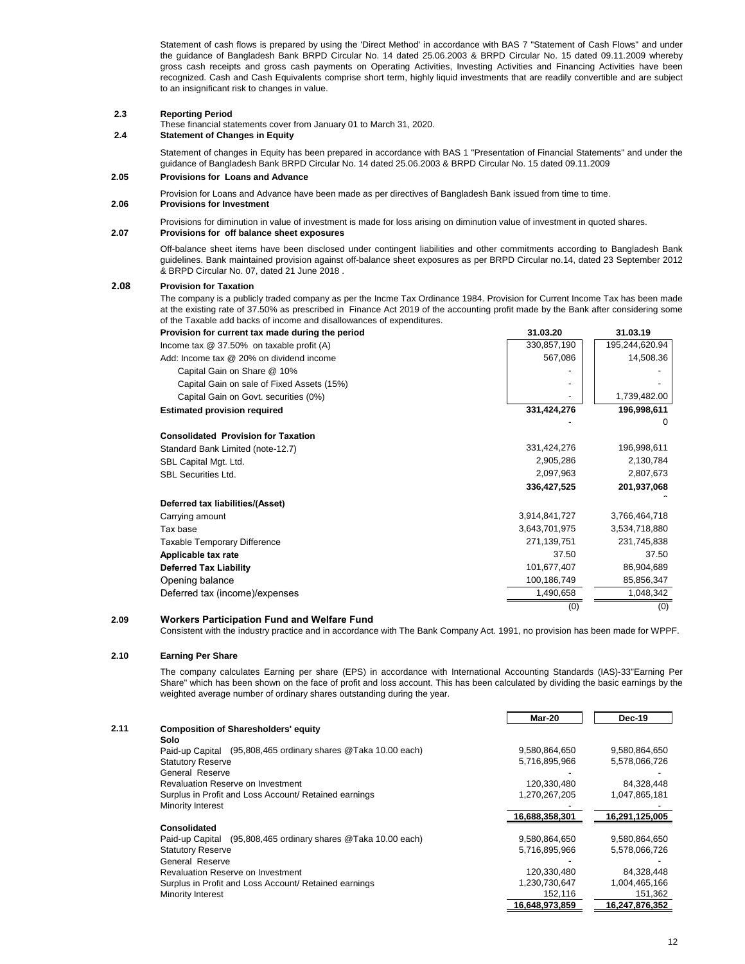Statement of cash flows is prepared by using the 'Direct Method' in accordance with BAS 7 "Statement of Cash Flows" and under the guidance of Bangladesh Bank BRPD Circular No. 14 dated 25.06.2003 & BRPD Circular No. 15 dated 09.11.2009 whereby gross cash receipts and gross cash payments on Operating Activities, Investing Activities and Financing Activities have been recognized. Cash and Cash Equivalents comprise short term, highly liquid investments that are readily convertible and are subject to an insignificant risk to changes in value.

#### **2.3 Reporting Period**

These financial statements cover from January 01 to March 31, 2020.

#### **2.4 Statement of Changes in Equity**

Statement of changes in Equity has been prepared in accordance with BAS 1 "Presentation of Financial Statements" and under the guidance of Bangladesh Bank BRPD Circular No. 14 dated 25.06.2003 & BRPD Circular No. 15 dated 09.11.2009

#### **2.05 Provisions for Loans and Advance**

Provision for Loans and Advance have been made as per directives of Bangladesh Bank issued from time to time.

**2.06 Provisions for Investment**

Provisions for diminution in value of investment is made for loss arising on diminution value of investment in quoted shares.

#### **2.07 Provisions for off balance sheet exposures**

Off-balance sheet items have been disclosed under contingent liabilities and other commitments according to Bangladesh Bank guidelines. Bank maintained provision against off-balance sheet exposures as per BRPD Circular no.14, dated 23 September 2012 & BRPD Circular No. 07, dated 21 June 2018 .

#### **2.08 Provision for Taxation**

The company is a publicly traded company as per the Incme Tax Ordinance 1984. Provision for Current Income Tax has been made at the existing rate of 37.50% as prescribed in Finance Act 2019 of the accounting profit made by the Bank after considering some of the Taxable add backs of income and disallowances of expenditures.

| Provision for current tax made during the period | 31.03.20      | 31.03.19       |
|--------------------------------------------------|---------------|----------------|
| Income tax $@$ 37.50% on taxable profit (A)      | 330,857,190   | 195,244,620.94 |
| Add: Income tax @ 20% on dividend income         | 567,086       | 14,508.36      |
| Capital Gain on Share @ 10%                      |               |                |
| Capital Gain on sale of Fixed Assets (15%)       |               |                |
| Capital Gain on Govt. securities (0%)            |               | 1,739,482.00   |
| <b>Estimated provision required</b>              | 331,424,276   | 196,998,611    |
|                                                  |               | 0              |
| <b>Consolidated Provision for Taxation</b>       |               |                |
| Standard Bank Limited (note-12.7)                | 331,424,276   | 196,998,611    |
| SBL Capital Mgt. Ltd.                            | 2,905,286     | 2,130,784      |
| <b>SBL Securities Ltd.</b>                       | 2,097,963     | 2,807,673      |
|                                                  | 336,427,525   | 201,937,068    |
| Deferred tax liabilities/(Asset)                 |               |                |
| Carrying amount                                  | 3,914,841,727 | 3,766,464,718  |
| Tax base                                         | 3,643,701,975 | 3,534,718,880  |
| Taxable Temporary Difference                     | 271,139,751   | 231,745,838    |
| Applicable tax rate                              | 37.50         | 37.50          |
| <b>Deferred Tax Liability</b>                    | 101,677,407   | 86,904,689     |
| Opening balance                                  | 100,186,749   | 85,856,347     |
| Deferred tax (income)/expenses                   | 1,490,658     | 1,048,342      |
|                                                  | (0)           | (0)            |

#### **2.09 Workers Participation Fund and Welfare Fund**

Consistent with the industry practice and in accordance with The Bank Company Act. 1991, no provision has been made for WPPF.

#### **2.10 Earning Per Share**

The company calculates Earning per share (EPS) in accordance with International Accounting Standards (IAS)-33"Earning Per Share" which has been shown on the face of profit and loss account. This has been calculated by dividing the basic earnings by the weighted average number of ordinary shares outstanding during the year.

|      |                                                                  | Mar-20         | Dec-19         |
|------|------------------------------------------------------------------|----------------|----------------|
| 2.11 | <b>Composition of Sharesholders' equity</b>                      |                |                |
|      | Solo                                                             |                |                |
|      | (95,808,465 ordinary shares @Taka 10.00 each)<br>Paid-up Capital | 9,580,864,650  | 9,580,864,650  |
|      | <b>Statutory Reserve</b>                                         | 5,716,895,966  | 5,578,066,726  |
|      | General Reserve                                                  |                |                |
|      | Revaluation Reserve on Investment                                | 120,330,480    | 84,328,448     |
|      | Surplus in Profit and Loss Account/ Retained earnings            | 1,270,267,205  | 1,047,865,181  |
|      | Minority Interest                                                |                |                |
|      |                                                                  | 16,688,358,301 | 16,291,125,005 |
|      | Consolidated                                                     |                |                |
|      | (95,808,465 ordinary shares @Taka 10.00 each)<br>Paid-up Capital | 9,580,864,650  | 9,580,864,650  |
|      | <b>Statutory Reserve</b>                                         | 5,716,895,966  | 5,578,066,726  |
|      | General Reserve                                                  |                |                |
|      | Revaluation Reserve on Investment                                | 120,330,480    | 84,328,448     |
|      | Surplus in Profit and Loss Account/ Retained earnings            | 1,230,730,647  | 1,004,465,166  |
|      | <b>Minority Interest</b>                                         | 152,116        | 151,362        |
|      |                                                                  | 16,648,973,859 | 16,247,876,352 |
|      |                                                                  |                |                |